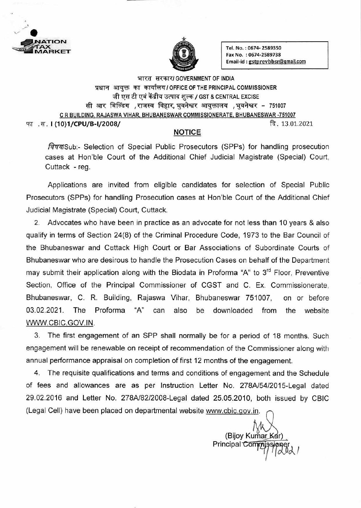



 $\overrightarrow{ABKET}$  Tel. No. : 0674- 2589350 Fax No. : 0674-2589738 Email-id: gstprevbbsr@gmail.com

भारत सरकार/ GOVERNMENT OF INDIA प्रधान आयक्त का कार्यालय / OFFICE OF THE PRINCIPAL COMMISSIONER जी एस टी एवं केंद्रीय उत्पाद शुल्क / GST & CENTRAL EXCISE सी आर बिल्डिंग ,राजस्व विहार,भुवनेश्वर आयुक्तालय ,भुवनेश्वर - 751007 C R BUILDING, RAJASWA VIHAR, BHUBANESWAR COMMISSIONERATE, BHUBANESWAR -751007 .Tr. **I (10)1/CPU/B-1/2008/** 13.01.2021

## **NOTICE**

fava Sub:- Selection of Special Public Prosecutors (SPPs) for handling prosecution cases at Hon'ble Court of the Additional Chief Judicial Magistrate (Special) Court. Cuttack - reg.

Applications are invited from eligible candidates for selection of Special Public Prosecutors (SPPs) for handling Prosecution cases at Hon'ble Court of the Additional Chief Judicial Magistrate (Special) Court, Cuttack.

2. Advocates who have been in practice as an advocate for not less than 10 years & also qualify in terms of Section 24(8) of the Criminal Procedure Code, 1973 to the Bar Council of the Bhubaneswar and Cuttack High Court or Bar Associations of Subordinate Courts of Bhubaneswar who are desirous to handle the Prosecution Cases on behalf of the Department may submit their application along with the Biodata in Proforma "A" to 3<sup>rd</sup> Floor, Preventive Section, Office of the Principal Commissioner of CGST and C. Ex. Commissionerate. Bhubaneswar, C. R. Building, Rajaswa Vihar, Bhubaneswar 751007, on or before 03.02.2021. The Proforma "A" can also be downloaded from the website WWW.CBIC.GOV.IN.

3. The first engagement of an SPP shall normally be for a period of 18 months. Such engagement will be renewable on receipt of recommendation of the Commissioner along with annual performance appraisal on completion of first 12 months of the engagement.

4. The requisite qualifications and terms and conditions of engagement and the Schedule of fees and allowances are as per Instruction Letter No. 278A/54/2015-Legal dated 29.02.2016 and Letter No. 278A/82/2008-Legal dated 25.05.2010, both issued by CBIC (Legal Cell) have been placed on departmental website www.cbic.gov.in.

(Bijoy Kumar Kar) Principal Commissioner